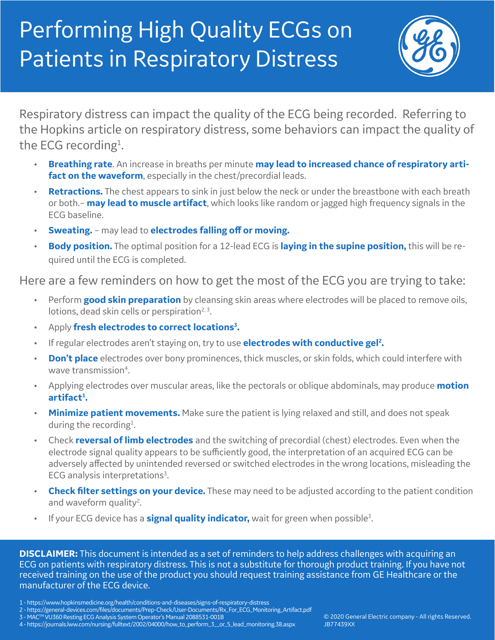## Performing High Quality ECGs on Patients in Respiratory Distress



Respiratory distress can impact the quality of the ECG being recorded. Referring to the Hopkins article on respiratory distress, some behaviors can impact the quality of the ECG recording<sup>1</sup>. .

- **Breathing rate**. An increase in breaths per minute **may lead to increased chance of respiratory artifact on the waveform**, especially in the chest/precordial leads.
- **Retractions.** The chest appears to sink in just below the neck or under the breastbone with each breath or both.– **may lead to muscle artifact**, which looks like random or jagged high frequency signals in the ECG baseline.
- **Sweating.** may lead to **electrodes falling off or moving.**
- **Body position.** The optimal position for a 12-lead ECG is **laying in the supine position,** this will be required until the ECG is completed.

Here are a few reminders on how to get the most of the ECG you are trying to take:

- Perform **good skin preparation** by cleansing skin areas where electrodes will be placed to remove oils, lotions, dead skin cells or perspiration<sup>2, 3</sup>.
- **Apply fresh electrodes to correct locations<sup>3</sup>.**
- If regular electrodes aren't staying on, try to use **electrodes with conductive gel2 .**
- **Don't place** electrodes over bony prominences, thick muscles, or skin folds, which could interfere with wave transmission<sup>4</sup>. .
- Applying electrodes over muscular areas, like the pectorals or oblique abdominals, may produce **motion artifact1 .**
- **Minimize patient movements.** Make sure the patient is lying relaxed and still, and does not speak during the recording<sup>1</sup>. .
- Check **reversal of limb electrodes** and the switching of precordial (chest) electrodes. Even when the electrode signal quality appears to be sufficiently good, the interpretation of an acquired ECG can be adversely affected by unintended reversed or switched electrodes in the wrong locations, misleading the ECG analysis interpretations<sup>3</sup>. .
- **Check filter settings on your device.** These may need to be adjusted according to the patient condition and waveform quality<sup>2</sup>. .
- If your ECG device has a **signal quality indicator,** wait for green when possible3 .

**DISCLAIMER:** This document is intended as a set of reminders to help address challenges with acquiring an ECG on patients with respiratory distress. This is not a substitute for thorough product training. If you have not received training on the use of the product you should request training assistance from GE Healthcare or the manufacturer of the ECG device.

- 2 https://general-devices.com/files/documents/Prep-Check/User-Documents/Rx\_For\_ECG\_Monitoring\_Artifact.pdf
- 3 MACTM VU360 Resting ECG Analysis System Operator's Manual 2088531-001B
- 4 https://journals.lww.com/nursing/fulltext/2002/04000/how\_to\_perform\_3\_\_or\_5\_lead\_monitoring.38.aspx

<sup>1 -</sup> https://www.hopkinsmedicine.org/health/conditions-and-diseases/signs-of-respiratory-distress